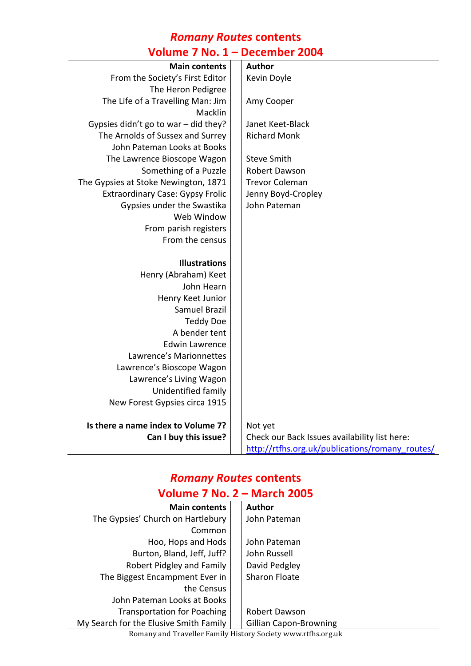#### *Romany Routes* **contents Volume 7 No. 1 – December 2004**

| <b>Main contents</b>                    | <b>Author</b>                                   |
|-----------------------------------------|-------------------------------------------------|
| From the Society's First Editor         | Kevin Doyle                                     |
| The Heron Pedigree                      |                                                 |
| The Life of a Travelling Man: Jim       | Amy Cooper                                      |
| Macklin                                 |                                                 |
| Gypsies didn't go to war - did they?    | Janet Keet-Black                                |
| The Arnolds of Sussex and Surrey        | <b>Richard Monk</b>                             |
| John Pateman Looks at Books             |                                                 |
| The Lawrence Bioscope Wagon             | <b>Steve Smith</b>                              |
| Something of a Puzzle                   | Robert Dawson                                   |
| The Gypsies at Stoke Newington, 1871    | <b>Trevor Coleman</b>                           |
| <b>Extraordinary Case: Gypsy Frolic</b> | Jenny Boyd-Cropley                              |
| Gypsies under the Swastika              | John Pateman                                    |
| Web Window                              |                                                 |
| From parish registers                   |                                                 |
| From the census                         |                                                 |
|                                         |                                                 |
| <b>Illustrations</b>                    |                                                 |
| Henry (Abraham) Keet                    |                                                 |
| John Hearn                              |                                                 |
| Henry Keet Junior                       |                                                 |
| <b>Samuel Brazil</b>                    |                                                 |
| <b>Teddy Doe</b>                        |                                                 |
| A bender tent                           |                                                 |
| <b>Edwin Lawrence</b>                   |                                                 |
| Lawrence's Marionnettes                 |                                                 |
| Lawrence's Bioscope Wagon               |                                                 |
| Lawrence's Living Wagon                 |                                                 |
| Unidentified family                     |                                                 |
| New Forest Gypsies circa 1915           |                                                 |
|                                         |                                                 |
| Is there a name index to Volume 7?      | Not yet                                         |
| Can I buy this issue?                   | Check our Back Issues availability list here:   |
|                                         | http://rtfhs.org.uk/publications/romany_routes/ |

#### *Romany Routes* **contents Volume 7 No. 2 – March 2005**

| <b>Main contents</b>                   | <b>Author</b>                 |
|----------------------------------------|-------------------------------|
| The Gypsies' Church on Hartlebury      | John Pateman                  |
| Common                                 |                               |
| Hoo, Hops and Hods                     | John Pateman                  |
| Burton, Bland, Jeff, Juff?             | John Russell                  |
| Robert Pidgley and Family              | David Pedgley                 |
| The Biggest Encampment Ever in         | Sharon Floate                 |
| the Census                             |                               |
| John Pateman Looks at Books            |                               |
| <b>Transportation for Poaching</b>     | Robert Dawson                 |
| My Search for the Elusive Smith Family | <b>Gillian Capon-Browning</b> |

Romany and Traveller Family History Society www.rtfhs.org.uk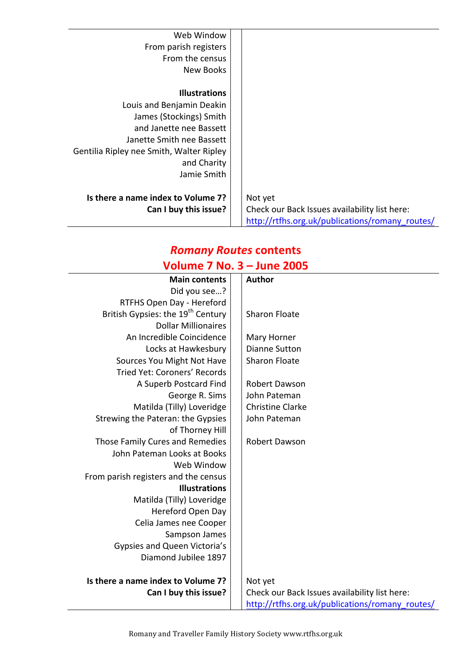| Web Window                               |                                                 |
|------------------------------------------|-------------------------------------------------|
| From parish registers                    |                                                 |
| From the census                          |                                                 |
| New Books                                |                                                 |
|                                          |                                                 |
| <b>Illustrations</b>                     |                                                 |
| Louis and Benjamin Deakin                |                                                 |
| James (Stockings) Smith                  |                                                 |
| and Janette nee Bassett                  |                                                 |
| Janette Smith nee Bassett                |                                                 |
| Gentilia Ripley nee Smith, Walter Ripley |                                                 |
| and Charity                              |                                                 |
| Jamie Smith                              |                                                 |
|                                          |                                                 |
| Is there a name index to Volume 7?       | Not yet                                         |
| Can I buy this issue?                    | Check our Back Issues availability list here:   |
|                                          | http://rtfhs.org.uk/publications/romany routes/ |

#### *Romany Routes* **contents Volume 7 No. 3 – June 2005**

| $\overline{v}$ volume 7 ivol 5 $-$ Julie 2005 |                                                 |
|-----------------------------------------------|-------------------------------------------------|
| <b>Main contents</b>                          | Author                                          |
| Did you see?                                  |                                                 |
| RTFHS Open Day - Hereford                     |                                                 |
| British Gypsies: the 19 <sup>th</sup> Century | <b>Sharon Floate</b>                            |
| <b>Dollar Millionaires</b>                    |                                                 |
| An Incredible Coincidence                     | Mary Horner                                     |
| Locks at Hawkesbury                           | <b>Dianne Sutton</b>                            |
| Sources You Might Not Have                    | <b>Sharon Floate</b>                            |
| Tried Yet: Coroners' Records                  |                                                 |
| A Superb Postcard Find                        | Robert Dawson                                   |
| George R. Sims                                | John Pateman                                    |
| Matilda (Tilly) Loveridge                     | <b>Christine Clarke</b>                         |
| Strewing the Pateran: the Gypsies             | John Pateman                                    |
| of Thorney Hill                               |                                                 |
| Those Family Cures and Remedies               | Robert Dawson                                   |
| John Pateman Looks at Books                   |                                                 |
| Web Window                                    |                                                 |
| From parish registers and the census          |                                                 |
| <b>Illustrations</b>                          |                                                 |
| Matilda (Tilly) Loveridge                     |                                                 |
| Hereford Open Day                             |                                                 |
| Celia James nee Cooper                        |                                                 |
| Sampson James                                 |                                                 |
| Gypsies and Queen Victoria's                  |                                                 |
| Diamond Jubilee 1897                          |                                                 |
| Is there a name index to Volume 7?            | Not yet                                         |
| Can I buy this issue?                         | Check our Back Issues availability list here:   |
|                                               | http://rtfhs.org.uk/publications/romany_routes/ |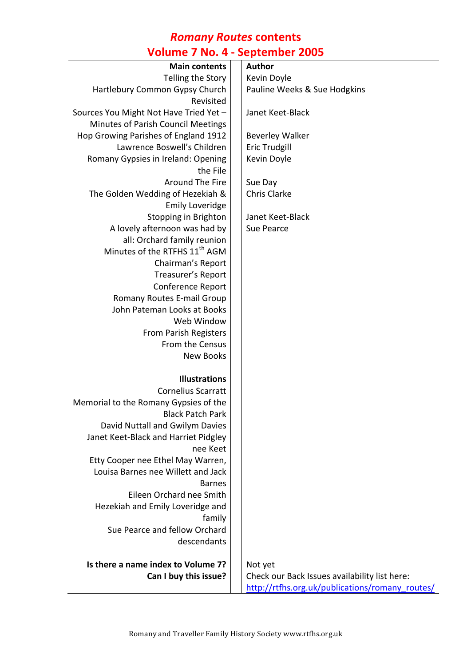### *Romany Routes* **contents Volume 7 No. 4 - September 2005**

| <b>Main contents</b>                      | <b>Author</b>                                   |
|-------------------------------------------|-------------------------------------------------|
| Telling the Story                         | Kevin Doyle                                     |
| Hartlebury Common Gypsy Church            | Pauline Weeks & Sue Hodgkins                    |
| Revisited                                 |                                                 |
| Sources You Might Not Have Tried Yet -    | Janet Keet-Black                                |
| Minutes of Parish Council Meetings        |                                                 |
| Hop Growing Parishes of England 1912      | <b>Beverley Walker</b>                          |
| Lawrence Boswell's Children               | <b>Eric Trudgill</b>                            |
| Romany Gypsies in Ireland: Opening        | Kevin Doyle                                     |
| the File                                  |                                                 |
| Around The Fire                           | Sue Day                                         |
| The Golden Wedding of Hezekiah &          | <b>Chris Clarke</b>                             |
| <b>Emily Loveridge</b>                    |                                                 |
| Stopping in Brighton                      | Janet Keet-Black                                |
| A lovely afternoon was had by             | Sue Pearce                                      |
| all: Orchard family reunion               |                                                 |
| Minutes of the RTFHS 11 <sup>th</sup> AGM |                                                 |
| Chairman's Report                         |                                                 |
| Treasurer's Report                        |                                                 |
| Conference Report                         |                                                 |
| Romany Routes E-mail Group                |                                                 |
| John Pateman Looks at Books               |                                                 |
| Web Window                                |                                                 |
| <b>From Parish Registers</b>              |                                                 |
| From the Census                           |                                                 |
| <b>New Books</b>                          |                                                 |
| <b>Illustrations</b>                      |                                                 |
| <b>Cornelius Scarratt</b>                 |                                                 |
| Memorial to the Romany Gypsies of the     |                                                 |
| <b>Black Patch Park</b>                   |                                                 |
| David Nuttall and Gwilym Davies           |                                                 |
| Janet Keet-Black and Harriet Pidgley      |                                                 |
| nee Keet                                  |                                                 |
| Etty Cooper nee Ethel May Warren,         |                                                 |
| Louisa Barnes nee Willett and Jack        |                                                 |
| <b>Barnes</b>                             |                                                 |
| Eileen Orchard nee Smith                  |                                                 |
| Hezekiah and Emily Loveridge and          |                                                 |
| family                                    |                                                 |
| Sue Pearce and fellow Orchard             |                                                 |
| descendants                               |                                                 |
| Is there a name index to Volume 7?        | Not yet                                         |
| Can I buy this issue?                     | Check our Back Issues availability list here:   |
|                                           | http://rtfhs.org.uk/publications/romany_routes/ |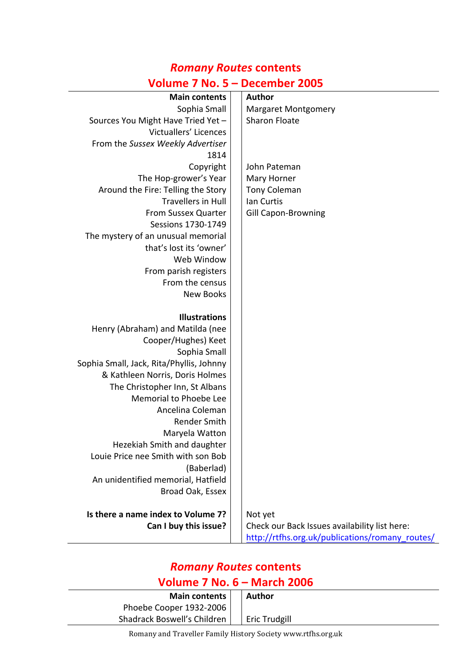| <b>Main contents</b>                     | <b>Author</b>                                   |
|------------------------------------------|-------------------------------------------------|
| Sophia Small                             | <b>Margaret Montgomery</b>                      |
| Sources You Might Have Tried Yet -       | <b>Sharon Floate</b>                            |
| Victuallers' Licences                    |                                                 |
| From the Sussex Weekly Advertiser        |                                                 |
| 1814                                     |                                                 |
| Copyright                                | John Pateman                                    |
| The Hop-grower's Year                    | Mary Horner                                     |
| Around the Fire: Telling the Story       | <b>Tony Coleman</b>                             |
| <b>Travellers in Hull</b>                | Ian Curtis                                      |
| From Sussex Quarter                      | Gill Capon-Browning                             |
| Sessions 1730-1749                       |                                                 |
| The mystery of an unusual memorial       |                                                 |
| that's lost its 'owner'                  |                                                 |
| Web Window                               |                                                 |
| From parish registers                    |                                                 |
| From the census                          |                                                 |
| <b>New Books</b>                         |                                                 |
|                                          |                                                 |
| <b>Illustrations</b>                     |                                                 |
| Henry (Abraham) and Matilda (nee         |                                                 |
| Cooper/Hughes) Keet                      |                                                 |
| Sophia Small                             |                                                 |
| Sophia Small, Jack, Rita/Phyllis, Johnny |                                                 |
| & Kathleen Norris, Doris Holmes          |                                                 |
| The Christopher Inn, St Albans           |                                                 |
| Memorial to Phoebe Lee                   |                                                 |
| Ancelina Coleman                         |                                                 |
| Render Smith                             |                                                 |
| Maryela Watton                           |                                                 |
| Hezekiah Smith and daughter              |                                                 |
| Louie Price nee Smith with son Bob       |                                                 |
| (Baberlad)                               |                                                 |
| An unidentified memorial, Hatfield       |                                                 |
| Broad Oak, Essex                         |                                                 |
| Is there a name index to Volume 7?       | Not yet                                         |
| Can I buy this issue?                    | Check our Back Issues availability list here:   |
|                                          | http://rtfhs.org.uk/publications/romany_routes/ |

## *Romany Routes* **contents Volume 7 No. 5 – December 2005**

## *Romany Routes* **contents**

#### **Volume 7 No. 6 – March 2006**

| <b>Main contents</b>        | Author        |
|-----------------------------|---------------|
| Phoebe Cooper 1932-2006     |               |
| Shadrack Boswell's Children | Eric Trudgill |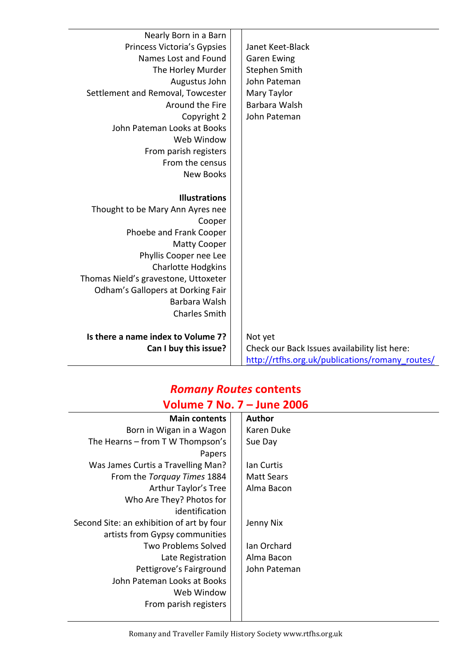| Nearly Born in a Barn<br>Princess Victoria's Gypsies<br>Names Lost and Found<br>The Horley Murder<br>Augustus John<br>Settlement and Removal, Towcester<br>Around the Fire<br>Copyright 2<br>John Pateman Looks at Books<br>Web Window<br>From parish registers<br>From the census<br><b>New Books</b> | Janet Keet-Black<br><b>Garen Ewing</b><br>Stephen Smith<br>John Pateman<br>Mary Taylor<br>Barbara Walsh<br>John Pateman |
|--------------------------------------------------------------------------------------------------------------------------------------------------------------------------------------------------------------------------------------------------------------------------------------------------------|-------------------------------------------------------------------------------------------------------------------------|
| <b>Illustrations</b>                                                                                                                                                                                                                                                                                   |                                                                                                                         |
| Thought to be Mary Ann Ayres nee                                                                                                                                                                                                                                                                       |                                                                                                                         |
| Cooper                                                                                                                                                                                                                                                                                                 |                                                                                                                         |
| Phoebe and Frank Cooper                                                                                                                                                                                                                                                                                |                                                                                                                         |
| <b>Matty Cooper</b>                                                                                                                                                                                                                                                                                    |                                                                                                                         |
| Phyllis Cooper nee Lee                                                                                                                                                                                                                                                                                 |                                                                                                                         |
| <b>Charlotte Hodgkins</b>                                                                                                                                                                                                                                                                              |                                                                                                                         |
| Thomas Nield's gravestone, Uttoxeter                                                                                                                                                                                                                                                                   |                                                                                                                         |
| <b>Odham's Gallopers at Dorking Fair</b><br>Barbara Walsh                                                                                                                                                                                                                                              |                                                                                                                         |
| <b>Charles Smith</b>                                                                                                                                                                                                                                                                                   |                                                                                                                         |
|                                                                                                                                                                                                                                                                                                        |                                                                                                                         |
| Is there a name index to Volume 7?                                                                                                                                                                                                                                                                     | Not yet                                                                                                                 |
| Can I buy this issue?                                                                                                                                                                                                                                                                                  | Check our Back Issues availability list here:                                                                           |
|                                                                                                                                                                                                                                                                                                        | http://rtfhs.org.uk/publications/romany_routes/                                                                         |

#### *Romany Routes* **contents Volume 7 No. 7 – June 2006**

| <b>Main contents</b>                      |  | <b>Author</b>     |
|-------------------------------------------|--|-------------------|
| Born in Wigan in a Wagon                  |  | Karen Duke        |
| The Hearns – from T W Thompson's          |  | Sue Day           |
| Papers                                    |  |                   |
| Was James Curtis a Travelling Man?        |  | lan Curtis        |
| From the Torquay Times 1884               |  | <b>Matt Sears</b> |
| Arthur Taylor's Tree                      |  | Alma Bacon        |
| Who Are They? Photos for                  |  |                   |
| identification                            |  |                   |
| Second Site: an exhibition of art by four |  | Jenny Nix         |
| artists from Gypsy communities            |  |                   |
| <b>Two Problems Solved</b>                |  | Ian Orchard       |
| Late Registration                         |  | Alma Bacon        |
| Pettigrove's Fairground                   |  | John Pateman      |
| John Pateman Looks at Books               |  |                   |
| Web Window                                |  |                   |
| From parish registers                     |  |                   |
|                                           |  |                   |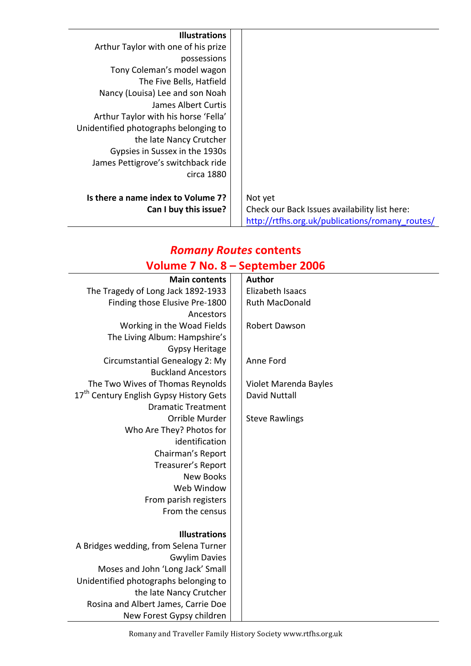| <b>Illustrations</b>                  |                                                 |
|---------------------------------------|-------------------------------------------------|
| Arthur Taylor with one of his prize   |                                                 |
| possessions                           |                                                 |
| Tony Coleman's model wagon            |                                                 |
| The Five Bells, Hatfield              |                                                 |
| Nancy (Louisa) Lee and son Noah       |                                                 |
| James Albert Curtis                   |                                                 |
| Arthur Taylor with his horse 'Fella'  |                                                 |
| Unidentified photographs belonging to |                                                 |
| the late Nancy Crutcher               |                                                 |
| Gypsies in Sussex in the 1930s        |                                                 |
| James Pettigrove's switchback ride    |                                                 |
| circa 1880                            |                                                 |
|                                       |                                                 |
| Is there a name index to Volume 7?    | Not yet                                         |
| Can I buy this issue?                 | Check our Back Issues availability list here:   |
|                                       | http://rtfhs.org.uk/publications/romany routes/ |

# *Romany Routes* **contents**

|                                                     | Volume 7 No. 8 – September 2006 |
|-----------------------------------------------------|---------------------------------|
| <b>Main contents</b>                                | <b>Author</b>                   |
| The Tragedy of Long Jack 1892-1933                  | Elizabeth Isaacs                |
| Finding those Elusive Pre-1800                      | <b>Ruth MacDonald</b>           |
| Ancestors                                           |                                 |
| Working in the Woad Fields                          | <b>Robert Dawson</b>            |
| The Living Album: Hampshire's                       |                                 |
| <b>Gypsy Heritage</b>                               |                                 |
| Circumstantial Genealogy 2: My                      | Anne Ford                       |
| <b>Buckland Ancestors</b>                           |                                 |
| The Two Wives of Thomas Reynolds                    | Violet Marenda Bayles           |
| 17 <sup>th</sup> Century English Gypsy History Gets | <b>David Nuttall</b>            |
| <b>Dramatic Treatment</b>                           |                                 |
| Orrible Murder                                      | <b>Steve Rawlings</b>           |
| Who Are They? Photos for                            |                                 |
| identification                                      |                                 |
| Chairman's Report                                   |                                 |
| Treasurer's Report                                  |                                 |
| <b>New Books</b>                                    |                                 |
| Web Window                                          |                                 |
| From parish registers                               |                                 |
| From the census                                     |                                 |
|                                                     |                                 |
| <b>Illustrations</b>                                |                                 |
| A Bridges wedding, from Selena Turner               |                                 |
| <b>Gwylim Davies</b>                                |                                 |
| Moses and John 'Long Jack' Small                    |                                 |
| Unidentified photographs belonging to               |                                 |
| the late Nancy Crutcher                             |                                 |
| Rosina and Albert James, Carrie Doe                 |                                 |
| New Forest Gypsy children                           |                                 |